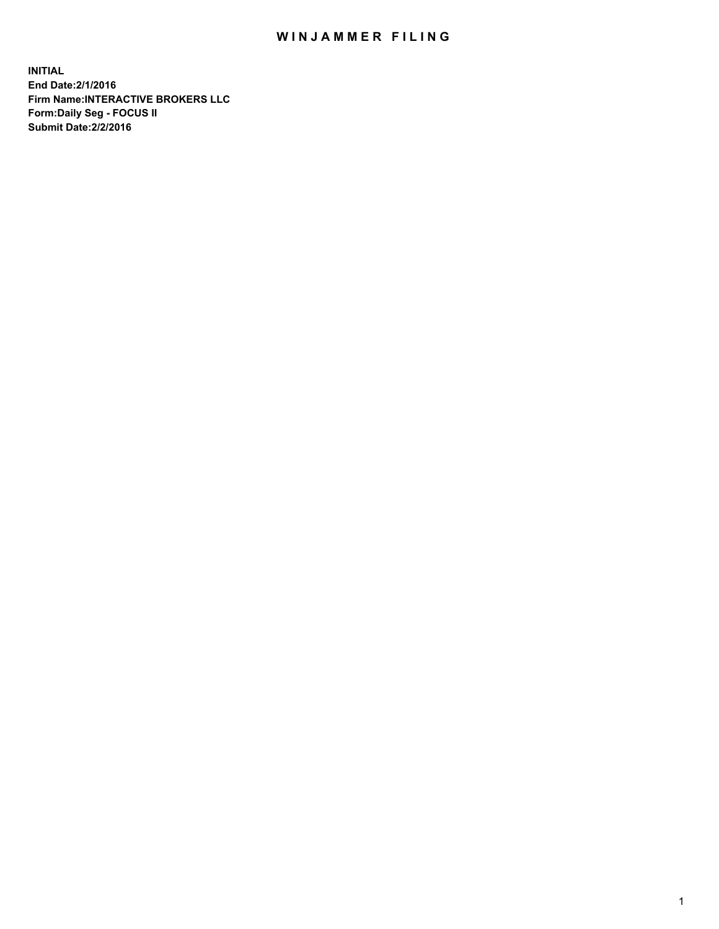## WIN JAMMER FILING

**INITIAL End Date:2/1/2016 Firm Name:INTERACTIVE BROKERS LLC Form:Daily Seg - FOCUS II Submit Date:2/2/2016**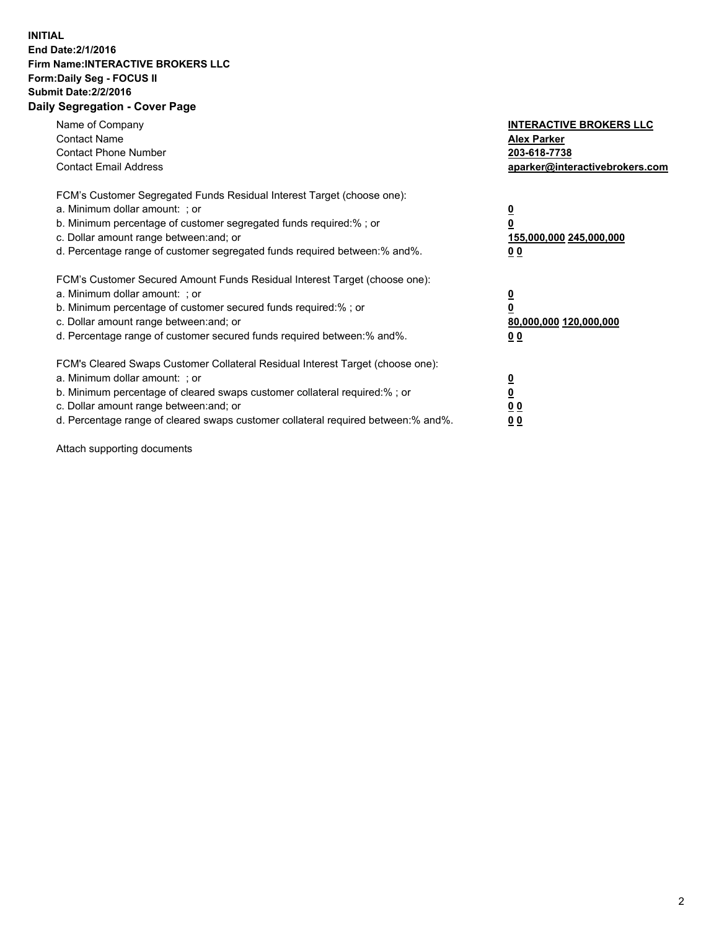## **INITIAL End Date:2/1/2016 Firm Name:INTERACTIVE BROKERS LLC Form:Daily Seg - FOCUS II Submit Date:2/2/2016 Daily Segregation - Cover Page**

| Name of Company<br><b>Contact Name</b><br><b>Contact Phone Number</b><br><b>Contact Email Address</b>                                                                                                                                                                                                                          | <b>INTERACTIVE BROKERS LLC</b><br><b>Alex Parker</b><br>203-618-7738<br>aparker@interactivebrokers.com |
|--------------------------------------------------------------------------------------------------------------------------------------------------------------------------------------------------------------------------------------------------------------------------------------------------------------------------------|--------------------------------------------------------------------------------------------------------|
| FCM's Customer Segregated Funds Residual Interest Target (choose one):<br>a. Minimum dollar amount: ; or<br>b. Minimum percentage of customer segregated funds required:%; or<br>c. Dollar amount range between: and; or<br>d. Percentage range of customer segregated funds required between:% and%.                          | <u>0</u><br>155,000,000 245,000,000<br><u>00</u>                                                       |
| FCM's Customer Secured Amount Funds Residual Interest Target (choose one):<br>a. Minimum dollar amount: ; or<br>b. Minimum percentage of customer secured funds required:%; or<br>c. Dollar amount range between: and; or<br>d. Percentage range of customer secured funds required between:% and%.                            | <u>0</u><br>80,000,000 120,000,000<br>0 <sub>0</sub>                                                   |
| FCM's Cleared Swaps Customer Collateral Residual Interest Target (choose one):<br>a. Minimum dollar amount: ; or<br>b. Minimum percentage of cleared swaps customer collateral required:% ; or<br>c. Dollar amount range between: and; or<br>d. Percentage range of cleared swaps customer collateral required between:% and%. | ₫<br>0 <sub>0</sub><br>0 <sub>0</sub>                                                                  |

Attach supporting documents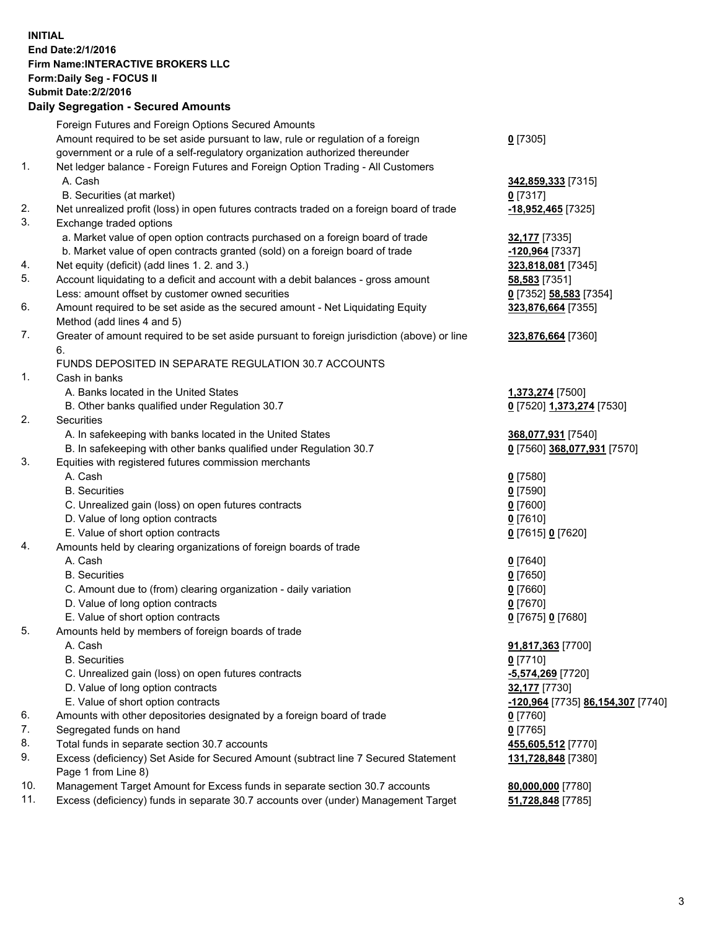## **INITIAL End Date:2/1/2016 Firm Name:INTERACTIVE BROKERS LLC Form:Daily Seg - FOCUS II Submit Date:2/2/2016 Daily Segregation - Secured Amounts**

|     | <b>Pany Obyroganon</b> Obbarba Annoann                                                      |                                                 |
|-----|---------------------------------------------------------------------------------------------|-------------------------------------------------|
|     | Foreign Futures and Foreign Options Secured Amounts                                         |                                                 |
|     | Amount required to be set aside pursuant to law, rule or regulation of a foreign            | $0$ [7305]                                      |
|     | government or a rule of a self-regulatory organization authorized thereunder                |                                                 |
| 1.  | Net ledger balance - Foreign Futures and Foreign Option Trading - All Customers             |                                                 |
|     | A. Cash                                                                                     | 342,859,333 [7315]                              |
|     | B. Securities (at market)                                                                   | $0$ [7317]                                      |
| 2.  | Net unrealized profit (loss) in open futures contracts traded on a foreign board of trade   | -18,952,465 [7325]                              |
| 3.  | Exchange traded options                                                                     |                                                 |
|     | a. Market value of open option contracts purchased on a foreign board of trade              | 32,177 [7335]                                   |
|     | b. Market value of open contracts granted (sold) on a foreign board of trade                | -120,964 [7337]                                 |
| 4.  | Net equity (deficit) (add lines 1.2. and 3.)                                                | 323,818,081 [7345]                              |
| 5.  | Account liquidating to a deficit and account with a debit balances - gross amount           | 58,583 [7351]                                   |
|     | Less: amount offset by customer owned securities                                            | 0 [7352] 58,583 [7354]                          |
| 6.  | Amount required to be set aside as the secured amount - Net Liquidating Equity              | 323,876,664 [7355]                              |
|     | Method (add lines 4 and 5)                                                                  |                                                 |
| 7.  | Greater of amount required to be set aside pursuant to foreign jurisdiction (above) or line | 323,876,664 [7360]                              |
|     | 6.                                                                                          |                                                 |
|     | FUNDS DEPOSITED IN SEPARATE REGULATION 30.7 ACCOUNTS                                        |                                                 |
| 1.  | Cash in banks                                                                               |                                                 |
|     | A. Banks located in the United States                                                       | 1,373,274 [7500]                                |
|     | B. Other banks qualified under Regulation 30.7                                              | 0 [7520] 1,373,274 [7530]                       |
| 2.  | Securities                                                                                  |                                                 |
|     | A. In safekeeping with banks located in the United States                                   | 368,077,931 [7540]                              |
|     | B. In safekeeping with other banks qualified under Regulation 30.7                          | 0 [7560] 368,077,931 [7570]                     |
| 3.  | Equities with registered futures commission merchants                                       |                                                 |
|     | A. Cash                                                                                     | $0$ [7580]                                      |
|     | <b>B.</b> Securities                                                                        | $0$ [7590]                                      |
|     | C. Unrealized gain (loss) on open futures contracts                                         | $0$ [7600]                                      |
|     | D. Value of long option contracts                                                           | $0$ [7610]                                      |
|     | E. Value of short option contracts                                                          | 0 [7615] 0 [7620]                               |
| 4.  | Amounts held by clearing organizations of foreign boards of trade                           |                                                 |
|     | A. Cash                                                                                     | $0$ [7640]                                      |
|     | <b>B.</b> Securities                                                                        | $0$ [7650]                                      |
|     | C. Amount due to (from) clearing organization - daily variation                             | $0$ [7660]                                      |
|     | D. Value of long option contracts                                                           | $0$ [7670]                                      |
|     | E. Value of short option contracts                                                          | 0 [7675] 0 [7680]                               |
| 5.  | Amounts held by members of foreign boards of trade                                          |                                                 |
|     | A. Cash                                                                                     | 91,817,363 [7700]                               |
|     | <b>B.</b> Securities                                                                        | $0$ [7710]                                      |
|     | C. Unrealized gain (loss) on open futures contracts                                         | -5,574,269 [7720]                               |
|     | D. Value of long option contracts                                                           | 32,177 [7730]                                   |
|     | E. Value of short option contracts                                                          | <u>-120,964</u> [7735] <u>86,154,307</u> [7740] |
| 6.  | Amounts with other depositories designated by a foreign board of trade                      | $0$ [7760]                                      |
| 7.  | Segregated funds on hand                                                                    | $0$ [7765]                                      |
| 8.  | Total funds in separate section 30.7 accounts                                               | 455,605,512 [7770]                              |
| 9.  | Excess (deficiency) Set Aside for Secured Amount (subtract line 7 Secured Statement         | 131,728,848 [7380]                              |
|     | Page 1 from Line 8)                                                                         |                                                 |
| 10. | Management Target Amount for Excess funds in separate section 30.7 accounts                 | 80,000,000 [7780]                               |
| 11. | Excess (deficiency) funds in separate 30.7 accounts over (under) Management Target          | 51,728,848 [7785]                               |
|     |                                                                                             |                                                 |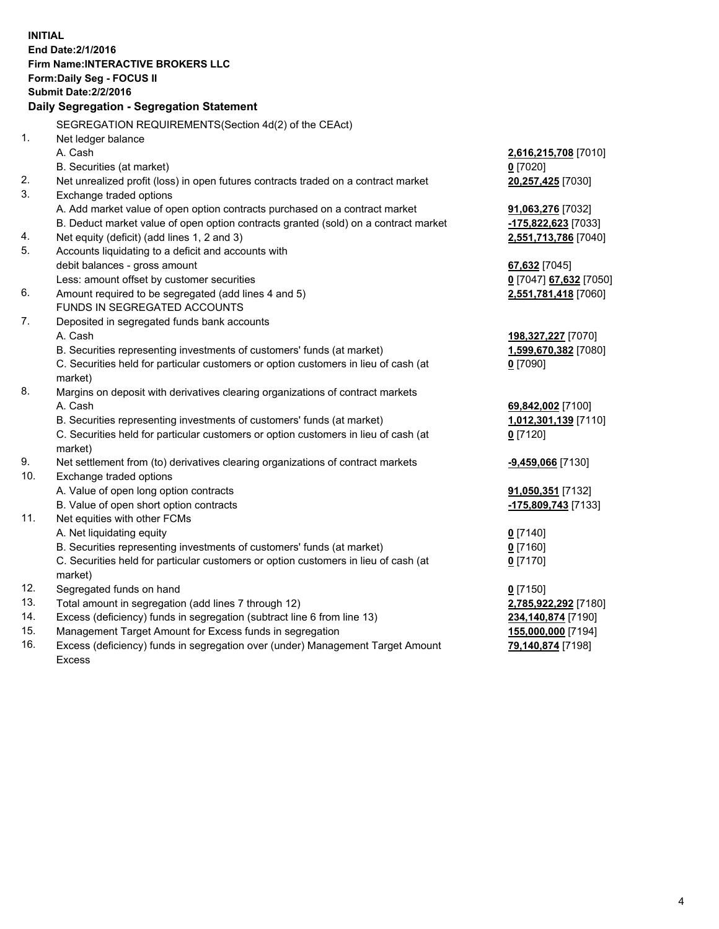**INITIAL End Date:2/1/2016 Firm Name:INTERACTIVE BROKERS LLC Form:Daily Seg - FOCUS II Submit Date:2/2/2016 Daily Segregation - Segregation Statement** SEGREGATION REQUIREMENTS(Section 4d(2) of the CEAct) 1. Net ledger balance A. Cash **2,616,215,708** [7010] B. Securities (at market) **0** [7020] 2. Net unrealized profit (loss) in open futures contracts traded on a contract market **20,257,425** [7030] 3. Exchange traded options A. Add market value of open option contracts purchased on a contract market **91,063,276** [7032] B. Deduct market value of open option contracts granted (sold) on a contract market **-175,822,623** [7033] 4. Net equity (deficit) (add lines 1, 2 and 3) **2,551,713,786** [7040] 5. Accounts liquidating to a deficit and accounts with debit balances - gross amount **67,632** [7045] Less: amount offset by customer securities **0** [7047] **67,632** [7050] 6. Amount required to be segregated (add lines 4 and 5) **2,551,781,418** [7060] FUNDS IN SEGREGATED ACCOUNTS 7. Deposited in segregated funds bank accounts A. Cash **198,327,227** [7070] B. Securities representing investments of customers' funds (at market) **1,599,670,382** [7080] C. Securities held for particular customers or option customers in lieu of cash (at market) **0** [7090] 8. Margins on deposit with derivatives clearing organizations of contract markets A. Cash **69,842,002** [7100] B. Securities representing investments of customers' funds (at market) **1,012,301,139** [7110] C. Securities held for particular customers or option customers in lieu of cash (at market) **0** [7120] 9. Net settlement from (to) derivatives clearing organizations of contract markets **-9,459,066** [7130] 10. Exchange traded options A. Value of open long option contracts **91,050,351** [7132] B. Value of open short option contracts **-175,809,743** [7133] 11. Net equities with other FCMs A. Net liquidating equity **0** [7140] B. Securities representing investments of customers' funds (at market) **0** [7160] C. Securities held for particular customers or option customers in lieu of cash (at market) **0** [7170] 12. Segregated funds on hand **0** [7150] 13. Total amount in segregation (add lines 7 through 12) **2,785,922,292** [7180] 14. Excess (deficiency) funds in segregation (subtract line 6 from line 13) **234,140,874** [7190] 15. Management Target Amount for Excess funds in segregation **155,000,000** [7194] **79,140,874** [7198]

16. Excess (deficiency) funds in segregation over (under) Management Target Amount Excess